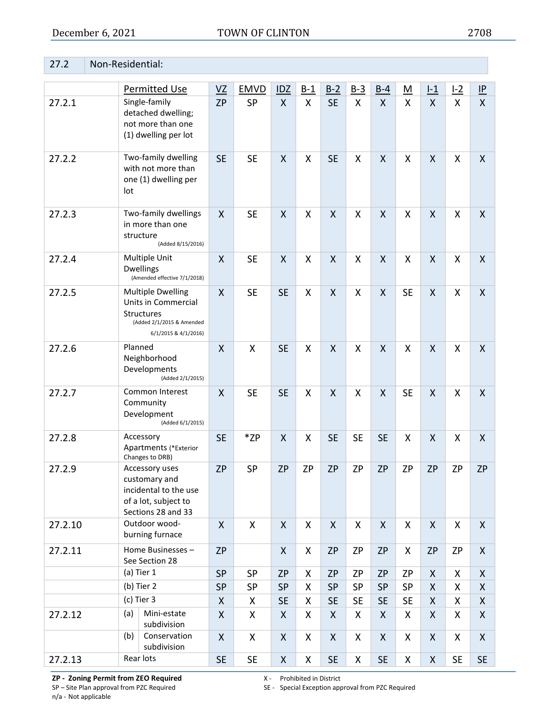## 27.2 Non-Residential:

|         |     | <b>Permitted Use</b>                                                                                               | VZ                 | <b>EMVD</b>          | IDZ          | $B-1$     | $B-2$        | $B-3$              | $B-4$              | <u>M</u>  | $l-1$            | L2        | P            |
|---------|-----|--------------------------------------------------------------------------------------------------------------------|--------------------|----------------------|--------------|-----------|--------------|--------------------|--------------------|-----------|------------------|-----------|--------------|
| 27.2.1  |     | Single-family<br>detached dwelling;<br>not more than one<br>(1) dwelling per lot                                   | <b>ZP</b>          | <b>SP</b>            | $\mathsf{X}$ | Χ         | <b>SE</b>    | X                  | $\mathsf{X}$       | X         | $\mathsf{X}$     | X         | $\mathsf{X}$ |
| 27.2.2  | lot | Two-family dwelling<br>with not more than<br>one (1) dwelling per                                                  | <b>SE</b>          | <b>SE</b>            | $\mathsf{X}$ | Χ         | <b>SE</b>    | X                  | $\mathsf{X}$       | X         | $\mathsf{X}$     | X         | $\mathsf{X}$ |
| 27.2.3  |     | Two-family dwellings<br>in more than one<br>structure<br>(Added 8/15/2016)                                         | X                  | <b>SE</b>            | $\mathsf{X}$ | Χ         | X            | X                  | $\mathsf{X}$       | X         | $\mathsf{X}$     | X         | X            |
| 27.2.4  |     | Multiple Unit<br><b>Dwellings</b><br>(Amended effective 7/1/2018)                                                  | X                  | <b>SE</b>            | $\mathsf{X}$ | Χ         | X            | X                  | $\mathsf{X}$       | X         | $\mathsf{X}$     | X         | X            |
| 27.2.5  |     | <b>Multiple Dwelling</b><br>Units in Commercial<br>Structures<br>(Added 2/1/2015 & Amended<br>6/1/2015 & 4/1/2016) | X                  | <b>SE</b>            | <b>SE</b>    | Χ         | X            | X                  | X                  | <b>SE</b> | $\mathsf{X}$     | X         | $\mathsf{X}$ |
| 27.2.6  |     | Planned<br>Neighborhood<br>Developments<br>(Added 2/1/2015)                                                        | $\mathsf{X}$       | X                    | <b>SE</b>    | Χ         | X            | X                  | $\mathsf{X}$       | X         | $\mathsf{X}$     | X         | $\mathsf{X}$ |
| 27.2.7  |     | Common Interest<br>Community<br>Development<br>(Added 6/1/2015)                                                    | X                  | <b>SE</b>            | <b>SE</b>    | X         | X            | X                  | $\sf X$            | <b>SE</b> | $\mathsf{X}$     | X         | $\mathsf{X}$ |
| 27.2.8  |     | Accessory<br><b>Apartments (*Exterior</b><br>Changes to DRB)                                                       | <b>SE</b>          | *ZP                  | X            | X         | <b>SE</b>    | <b>SE</b>          | <b>SE</b>          | X         | $\mathsf{X}$     | X         | $\mathsf{X}$ |
| 27.2.9  |     | Accessory uses<br>customary and<br>incidental to the use<br>of a lot, subject to<br>Sections 28 and 33             | <b>ZP</b>          | <b>SP</b>            | <b>ZP</b>    | <b>ZP</b> | <b>ZP</b>    | ZP                 | <b>ZP</b>          | ZP        | <b>ZP</b>        | <b>ZP</b> | <b>ZP</b>    |
| 27.2.10 |     | Outdoor wood-<br>burning furnace                                                                                   | X                  | X                    | $\mathsf{X}$ | X         | $\mathsf{X}$ | X                  | $\mathsf{X}$       | X         | X                | X         | $\mathsf{X}$ |
| 27.2.11 |     | Home Businesses -<br>See Section 28                                                                                | <b>ZP</b>          |                      | X            | Χ         | <b>ZP</b>    | <b>ZP</b>          | <b>ZP</b>          | X         | <b>ZP</b>        | <b>ZP</b> | X            |
|         |     | (a) Tier 1                                                                                                         | SP                 | <b>SP</b>            | <b>ZP</b>    | Χ         | <b>ZP</b>    | ZP                 | <b>ZP</b>          | <b>ZP</b> | $\boldsymbol{X}$ | X         | X            |
|         |     | (b) Tier 2                                                                                                         | <b>SP</b>          | SP                   | <b>SP</b>    | Χ         | SP           | SP                 | <b>SP</b>          | <b>SP</b> | X                | X.        | X            |
|         |     | (c) Tier 3                                                                                                         | X                  | X                    | <b>SE</b>    | Χ         | <b>SE</b>    | <b>SE</b>          | <b>SE</b>          | <b>SE</b> | X                | X         | X            |
| 27.2.12 | (a) | Mini-estate<br>subdivision                                                                                         | $\pmb{\mathsf{X}}$ | X                    | X            | Χ         | $\mathsf{X}$ | X                  | X                  | X         | X                | X.        | $\mathsf{X}$ |
|         | (b) | Conservation<br>subdivision                                                                                        | X                  | X                    | X            | Χ         | X            | X                  | $\pmb{\mathsf{X}}$ | X         | X                | X         | X            |
| 27.2.13 |     | Rear lots                                                                                                          | <b>SE</b>          | $\mathsf{SE}\xspace$ | X            | Χ         | <b>SE</b>    | $\pmb{\mathsf{X}}$ | <b>SE</b>          | X         | $\pmb{\times}$   | <b>SE</b> | <b>SE</b>    |

**ZP - Zoning Permit from ZEO Required** X - Prohibited in District SP - Site Plan approval from PZC Required SE - Special Exception app

n/a - Not applicable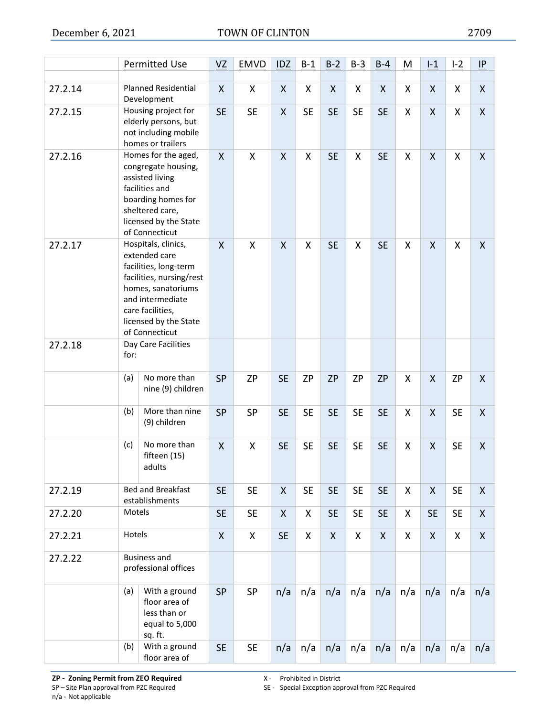|         |        | Permitted Use                                                                                                                                                                                      | VZ                        | <b>EMVD</b> | IDZ          | $B-1$     | $B-2$     | $B-3$     | $B-4$        | <u>M</u> | $L_1$        | L2                 | IP                 |
|---------|--------|----------------------------------------------------------------------------------------------------------------------------------------------------------------------------------------------------|---------------------------|-------------|--------------|-----------|-----------|-----------|--------------|----------|--------------|--------------------|--------------------|
| 27.2.14 |        | <b>Planned Residential</b><br>Development                                                                                                                                                          | $\mathsf{X}$              | X           | $\mathsf{X}$ | X         | X         | X         | X            | Χ        | X            | X                  | $\mathsf{X}$       |
| 27.2.15 |        | Housing project for<br>elderly persons, but<br>not including mobile<br>homes or trailers                                                                                                           | <b>SE</b>                 | <b>SE</b>   | X            | <b>SE</b> | <b>SE</b> | <b>SE</b> | <b>SE</b>    | X        | X            | X                  | $\mathsf{X}$       |
| 27.2.16 |        | Homes for the aged,<br>congregate housing,<br>assisted living<br>facilities and<br>boarding homes for<br>sheltered care,<br>licensed by the State<br>of Connecticut                                | $\boldsymbol{\mathsf{X}}$ | X           | X            | Χ         | <b>SE</b> | X         | <b>SE</b>    | X        | X            | X                  | X                  |
| 27.2.17 |        | Hospitals, clinics,<br>extended care<br>facilities, long-term<br>facilities, nursing/rest<br>homes, sanatoriums<br>and intermediate<br>care facilities,<br>licensed by the State<br>of Connecticut | $\mathsf{X}$              | X           | X            | X         | <b>SE</b> | X         | <b>SE</b>    | X        | X            | X                  | $\mathsf{X}$       |
| 27.2.18 | for:   | Day Care Facilities                                                                                                                                                                                |                           |             |              |           |           |           |              |          |              |                    |                    |
|         | (a)    | No more than<br>nine (9) children                                                                                                                                                                  | <b>SP</b>                 | <b>ZP</b>   | <b>SE</b>    | <b>ZP</b> | <b>ZP</b> | <b>ZP</b> | <b>ZP</b>    | Χ        | $\mathsf{X}$ | <b>ZP</b>          | $\pmb{\mathsf{X}}$ |
|         | (b)    | More than nine<br>(9) children                                                                                                                                                                     | <b>SP</b>                 | SP          | <b>SE</b>    | <b>SE</b> | <b>SE</b> | <b>SE</b> | <b>SE</b>    | X        | $\mathsf{X}$ | <b>SE</b>          | X                  |
|         | (c)    | No more than<br>fifteen (15)<br>adults                                                                                                                                                             | X                         | X           | <b>SE</b>    | <b>SE</b> | <b>SE</b> | <b>SE</b> | <b>SE</b>    | Χ        | X            | <b>SE</b>          | X                  |
| 27.2.19 |        | <b>Bed and Breakfast</b><br>establishments                                                                                                                                                         | <b>SE</b>                 | <b>SE</b>   | $\mathsf{X}$ | <b>SE</b> | <b>SE</b> | <b>SE</b> | <b>SE</b>    | X        | $\mathsf{X}$ | <b>SE</b>          | X                  |
| 27.2.20 | Motels |                                                                                                                                                                                                    | <b>SE</b>                 | <b>SE</b>   | $\mathsf{X}$ | X         | <b>SE</b> | <b>SE</b> | <b>SE</b>    | X        | <b>SE</b>    | <b>SE</b>          | $\pmb{\mathsf{X}}$ |
| 27.2.21 | Hotels |                                                                                                                                                                                                    | $\pmb{\mathsf{X}}$        | X           | <b>SE</b>    | X         | X         | X         | $\mathsf{X}$ | X        | $\mathsf{X}$ | $\pmb{\mathsf{X}}$ | $\pmb{\mathsf{X}}$ |
| 27.2.22 |        | <b>Business and</b><br>professional offices                                                                                                                                                        |                           |             |              |           |           |           |              |          |              |                    |                    |
|         | (a)    | With a ground<br>floor area of<br>less than or<br>equal to 5,000<br>sq. ft.                                                                                                                        | <b>SP</b>                 | <b>SP</b>   | n/a          | n/a       | n/a       | n/a       | n/a          | n/a      | n/a          | n/a                | n/a                |
|         | (b)    | With a ground<br>floor area of                                                                                                                                                                     | <b>SE</b>                 | <b>SE</b>   | n/a          | n/a       | n/a       | n/a       | n/a          | n/a      | n/a          | n/a                | n/a                |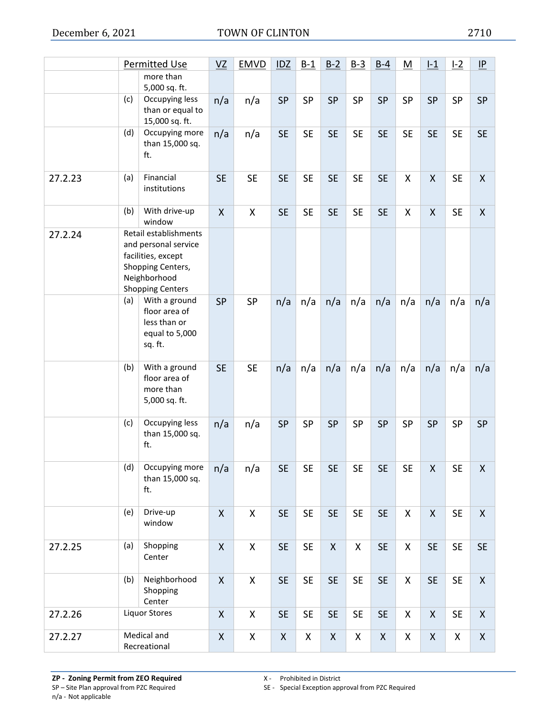|         |     | <b>Permitted Use</b>                                                                                                                | VZ                 | <b>EMVD</b>        | IDZ       | $B-1$     | $B-2$              | $B-3$     | $B-4$     | <u>M</u>           | $L_1$              | L2        | $\underline{\mathsf{IP}}$ |
|---------|-----|-------------------------------------------------------------------------------------------------------------------------------------|--------------------|--------------------|-----------|-----------|--------------------|-----------|-----------|--------------------|--------------------|-----------|---------------------------|
|         |     | more than<br>5,000 sq. ft.                                                                                                          |                    |                    |           |           |                    |           |           |                    |                    |           |                           |
|         | (c) | Occupying less<br>than or equal to<br>15,000 sq. ft.                                                                                | n/a                | n/a                | <b>SP</b> | SP        | <b>SP</b>          | SP        | SP        | SP                 | SP                 | SP        | <b>SP</b>                 |
|         | (d) | Occupying more<br>than 15,000 sq.<br>ft.                                                                                            | n/a                | n/a                | <b>SE</b> | <b>SE</b> | <b>SE</b>          | <b>SE</b> | <b>SE</b> | <b>SE</b>          | <b>SE</b>          | <b>SE</b> | <b>SE</b>                 |
| 27.2.23 | (a) | Financial<br>institutions                                                                                                           | <b>SE</b>          | <b>SE</b>          | <b>SE</b> | <b>SE</b> | <b>SE</b>          | <b>SE</b> | <b>SE</b> | X                  | $\pmb{\mathsf{X}}$ | <b>SE</b> | $\mathsf{X}$              |
|         | (b) | With drive-up<br>window                                                                                                             | $\mathsf{X}$       | X                  | <b>SE</b> | <b>SE</b> | <b>SE</b>          | <b>SE</b> | <b>SE</b> | X                  | $\pmb{\mathsf{X}}$ | <b>SE</b> | $\mathsf{X}$              |
| 27.2.24 |     | Retail establishments<br>and personal service<br>facilities, except<br>Shopping Centers,<br>Neighborhood<br><b>Shopping Centers</b> |                    |                    |           |           |                    |           |           |                    |                    |           |                           |
|         | (a) | With a ground<br>floor area of<br>less than or<br>equal to 5,000<br>sq. ft.                                                         | <b>SP</b>          | SP                 | n/a       | n/a       | n/a                | n/a       | n/a       | n/a                | n/a                | n/a       | n/a                       |
|         | (b) | With a ground<br>floor area of<br>more than<br>5,000 sq. ft.                                                                        | <b>SE</b>          | <b>SE</b>          | n/a       | n/a       | n/a                | n/a       | n/a       | n/a                | n/a                | n/a       | n/a                       |
|         | (c) | Occupying less<br>than 15,000 sq.<br>ft.                                                                                            | n/a                | n/a                | <b>SP</b> | SP        | <b>SP</b>          | SP        | SP        | <b>SP</b>          | SP                 | SP        | <b>SP</b>                 |
|         | (d) | Occupying more<br>than 15,000 sq.<br>ft.                                                                                            | n/a                | n/a                | <b>SE</b> | <b>SE</b> | <b>SE</b>          | <b>SE</b> | <b>SE</b> | <b>SE</b>          | $\pmb{\mathsf{X}}$ | <b>SE</b> | $\pmb{\mathsf{X}}$        |
|         | (e) | Drive-up<br>window                                                                                                                  | $\pmb{\mathsf{X}}$ | $\mathsf{X}$       | <b>SE</b> | <b>SE</b> | <b>SE</b>          | <b>SE</b> | <b>SE</b> | $\mathsf X$        | $\pmb{\mathsf{X}}$ | <b>SE</b> | $\mathsf{X}$              |
| 27.2.25 | (a) | Shopping<br>Center                                                                                                                  | $\mathsf{X}$       | $\mathsf{X}$       | <b>SE</b> | <b>SE</b> | $\mathsf{X}$       | X         | <b>SE</b> | $\mathsf X$        | <b>SE</b>          | <b>SE</b> | <b>SE</b>                 |
|         | (b) | Neighborhood<br>Shopping<br>Center                                                                                                  | $\mathsf{X}$       | X                  | <b>SE</b> | <b>SE</b> | <b>SE</b>          | <b>SE</b> | <b>SE</b> | X                  | <b>SE</b>          | <b>SE</b> | X                         |
| 27.2.26 |     | <b>Liquor Stores</b>                                                                                                                | $\mathsf{X}$       | $\pmb{\mathsf{X}}$ | <b>SE</b> | <b>SE</b> | <b>SE</b>          | <b>SE</b> | <b>SE</b> | $\pmb{\mathsf{X}}$ | $\pmb{\mathsf{X}}$ | <b>SE</b> | $\boldsymbol{X}$          |
| 27.2.27 |     | Medical and<br>Recreational                                                                                                         | $\pmb{\mathsf{X}}$ | X                  | X         | X         | $\pmb{\mathsf{X}}$ | X         | X         | X                  | $\pmb{\mathsf{X}}$ | Χ         | $\boldsymbol{X}$          |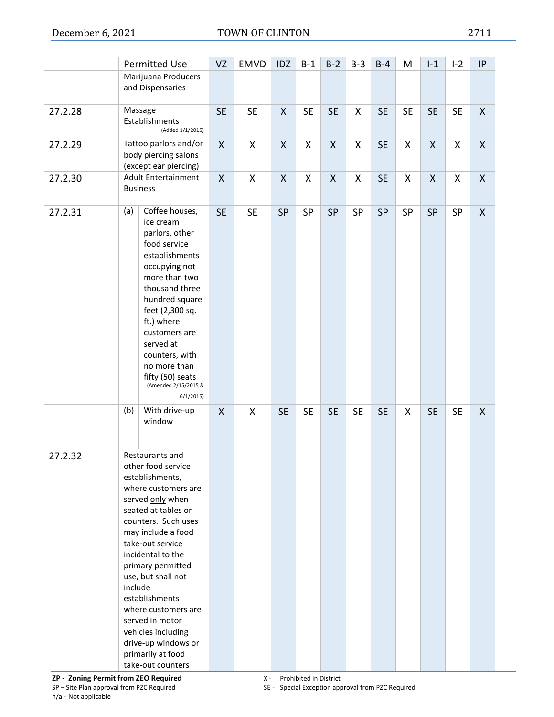|         | Permitted Use                                                                                                                                                                                                                                                                                                                                                                                                             | VZ        | <b>EMVD</b> | IDZ          | $B-1$     | $B-2$        | $B-3$     | $B-4$     | M         | $1-1$        | $1-2$     | IP           |
|---------|---------------------------------------------------------------------------------------------------------------------------------------------------------------------------------------------------------------------------------------------------------------------------------------------------------------------------------------------------------------------------------------------------------------------------|-----------|-------------|--------------|-----------|--------------|-----------|-----------|-----------|--------------|-----------|--------------|
|         | Marijuana Producers<br>and Dispensaries                                                                                                                                                                                                                                                                                                                                                                                   |           |             |              |           |              |           |           |           |              |           |              |
| 27.2.28 | Massage<br>Establishments<br>(Added 1/1/2015)                                                                                                                                                                                                                                                                                                                                                                             | <b>SE</b> | <b>SE</b>   | X            | <b>SE</b> | <b>SE</b>    | X         | <b>SE</b> | <b>SE</b> | <b>SE</b>    | <b>SE</b> | $\mathsf{X}$ |
| 27.2.29 | Tattoo parlors and/or<br>body piercing salons<br>(except ear piercing)                                                                                                                                                                                                                                                                                                                                                    | X         | X           | X            | X         | X            | X         | <b>SE</b> | X         | X            | X         | X            |
| 27.2.30 | <b>Adult Entertainment</b><br><b>Business</b>                                                                                                                                                                                                                                                                                                                                                                             | X         | X           | $\mathsf{X}$ | X         | $\mathsf{X}$ | X         | <b>SE</b> | X         | $\mathsf{X}$ | X         | $\mathsf{X}$ |
| 27.2.31 | Coffee houses,<br>(a)<br>ice cream<br>parlors, other<br>food service<br>establishments<br>occupying not<br>more than two<br>thousand three<br>hundred square<br>feet (2,300 sq.<br>ft.) where<br>customers are<br>served at<br>counters, with<br>no more than<br>fifty (50) seats<br>(Amended 2/15/2015 &<br>6/1/2015                                                                                                     | <b>SE</b> | <b>SE</b>   | <b>SP</b>    | SP        | <b>SP</b>    | SP        | <b>SP</b> | SP        | SP           | <b>SP</b> | X            |
|         | With drive-up<br>(b)<br>window                                                                                                                                                                                                                                                                                                                                                                                            | X         | X           | <b>SE</b>    | <b>SE</b> | <b>SE</b>    | <b>SE</b> | <b>SE</b> | X         | <b>SE</b>    | <b>SE</b> | X            |
| 27.2.32 | Restaurants and<br>other food service<br>establishments,<br>where customers are<br>served only when<br>seated at tables or<br>counters. Such uses<br>may include a food<br>take-out service<br>incidental to the<br>primary permitted<br>use, but shall not<br>include<br>establishments<br>where customers are<br>served in motor<br>vehicles including<br>drive-up windows or<br>primarily at food<br>take-out counters |           |             |              |           |              |           |           |           |              |           |              |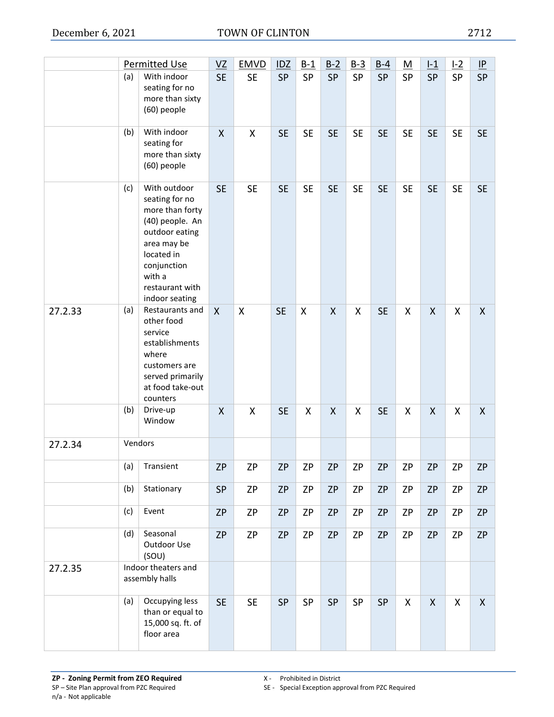|         |     | Permitted Use                                                                                                                                                                     | VZ           | <b>EMVD</b>               | <b>IDZ</b> | $B-1$     | $B-2$        | $B-3$     | $B-4$     | <u>M</u>  | $1-1$        | L <sub>2</sub> | IP           |
|---------|-----|-----------------------------------------------------------------------------------------------------------------------------------------------------------------------------------|--------------|---------------------------|------------|-----------|--------------|-----------|-----------|-----------|--------------|----------------|--------------|
|         | (a) | With indoor<br>seating for no<br>more than sixty<br>(60) people                                                                                                                   | <b>SE</b>    | <b>SE</b>                 | <b>SP</b>  | <b>SP</b> | <b>SP</b>    | <b>SP</b> | SP        | SP        | SP           | SP             | <b>SP</b>    |
|         | (b) | With indoor<br>seating for<br>more than sixty<br>(60) people                                                                                                                      | X            | X                         | <b>SE</b>  | <b>SE</b> | <b>SE</b>    | <b>SE</b> | <b>SE</b> | <b>SE</b> | <b>SE</b>    | <b>SE</b>      | <b>SE</b>    |
|         | (c) | With outdoor<br>seating for no<br>more than forty<br>(40) people. An<br>outdoor eating<br>area may be<br>located in<br>conjunction<br>with a<br>restaurant with<br>indoor seating | <b>SE</b>    | <b>SE</b>                 | <b>SE</b>  | <b>SE</b> | <b>SE</b>    | <b>SE</b> | <b>SE</b> | <b>SE</b> | <b>SE</b>    | <b>SE</b>      | <b>SE</b>    |
| 27.2.33 | (a) | Restaurants and<br>other food<br>service<br>establishments<br>where<br>customers are<br>served primarily<br>at food take-out<br>counters                                          | $\mathsf{X}$ | $\boldsymbol{\mathsf{X}}$ | <b>SE</b>  | X         | $\mathsf{X}$ | X         | <b>SE</b> | Χ         | X            | X              | $\mathsf{X}$ |
|         | (b) | Drive-up<br>Window                                                                                                                                                                | X            | X                         | <b>SE</b>  | X         | X            | X         | <b>SE</b> | Χ         | X            | Χ              | $\mathsf{X}$ |
| 27.2.34 |     | Vendors                                                                                                                                                                           |              |                           |            |           |              |           |           |           |              |                |              |
|         | (a) | Transient                                                                                                                                                                         | <b>ZP</b>    | ZP                        | ZΡ         | ZP        | ZP           | ZP        | <b>ZP</b> | ZΡ        | <b>ZP</b>    | ZΡ             | <b>ZP</b>    |
|         | (b) | Stationary                                                                                                                                                                        | SP           | <b>ZP</b>                 | ZP         | ZP        | <b>ZP</b>    | ΖP        | <b>ZP</b> | ΖP        | <b>ZP</b>    | ΖP             | <b>ZP</b>    |
|         | (c) | Event                                                                                                                                                                             | <b>ZP</b>    | <b>ZP</b>                 | <b>ZP</b>  | ZΡ        | <b>ZP</b>    | ZP        | <b>ZP</b> | ΖP        | <b>ZP</b>    | ZP             | <b>ZP</b>    |
|         | (d) | Seasonal<br>Outdoor Use<br>(SOU)                                                                                                                                                  | <b>ZP</b>    | ZP                        | <b>ZP</b>  | ZP        | ZP           | ZP        | <b>ZP</b> | ZP        | <b>ZP</b>    | ZP             | <b>ZP</b>    |
| 27.2.35 |     | Indoor theaters and<br>assembly halls                                                                                                                                             |              |                           |            |           |              |           |           |           |              |                |              |
|         | (a) | Occupying less<br>than or equal to<br>15,000 sq. ft. of<br>floor area                                                                                                             | <b>SE</b>    | <b>SE</b>                 | SP         | SP        | SP           | SP        | SP        | X         | $\mathsf{X}$ | X              | $\mathsf{X}$ |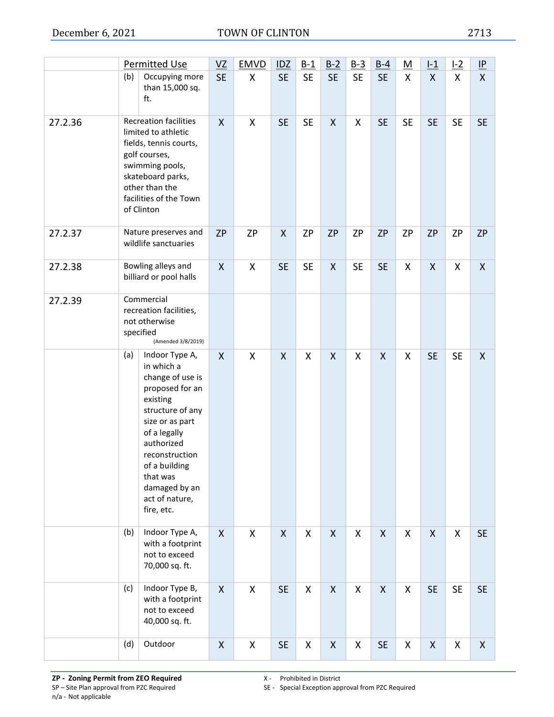|         |     | <b>Permitted Use</b>                                                                                                                                                                                                                                 | VZ                        | <b>EMVD</b>        | <b>IDZ</b>   | $B-1$     | $B-2$              | $B-3$              | $B-4$              | <u>M</u>  | $L_1$              | L2        | $\underline{\mathsf{IP}}$ |
|---------|-----|------------------------------------------------------------------------------------------------------------------------------------------------------------------------------------------------------------------------------------------------------|---------------------------|--------------------|--------------|-----------|--------------------|--------------------|--------------------|-----------|--------------------|-----------|---------------------------|
|         | (b) | Occupying more<br>than 15,000 sq.<br>ft.                                                                                                                                                                                                             | <b>SE</b>                 | X                  | <b>SE</b>    | <b>SE</b> | <b>SE</b>          | <b>SE</b>          | <b>SE</b>          | X         | $\mathsf{X}$       | X         | $\mathsf{X}$              |
| 27.2.36 |     | <b>Recreation facilities</b><br>limited to athletic<br>fields, tennis courts,<br>golf courses,<br>swimming pools,<br>skateboard parks,<br>other than the<br>facilities of the Town<br>of Clinton                                                     | $\mathsf{X}$              | X                  | <b>SE</b>    | <b>SE</b> | X                  | X                  | <b>SE</b>          | <b>SE</b> | <b>SE</b>          | <b>SE</b> | <b>SE</b>                 |
| 27.2.37 |     | Nature preserves and<br>wildlife sanctuaries                                                                                                                                                                                                         | <b>ZP</b>                 | <b>ZP</b>          | X            | <b>ZP</b> | <b>ZP</b>          | <b>ZP</b>          | <b>ZP</b>          | <b>ZP</b> | <b>ZP</b>          | <b>ZP</b> | <b>ZP</b>                 |
| 27.2.38 |     | Bowling alleys and<br>billiard or pool halls                                                                                                                                                                                                         | X                         | X                  | <b>SE</b>    | <b>SE</b> | X                  | <b>SE</b>          | <b>SE</b>          | X         | X                  | X         | $\mathsf{X}$              |
| 27.2.39 |     | Commercial<br>recreation facilities,<br>not otherwise<br>specified<br>(Amended 3/8/2019)                                                                                                                                                             |                           |                    |              |           |                    |                    |                    |           |                    |           |                           |
|         | (a) | Indoor Type A,<br>in which a<br>change of use is<br>proposed for an<br>existing<br>structure of any<br>size or as part<br>of a legally<br>authorized<br>reconstruction<br>of a building<br>that was<br>damaged by an<br>act of nature,<br>fire, etc. | $\boldsymbol{\mathsf{X}}$ | X                  | $\mathsf{X}$ | X         | $\pmb{\mathsf{X}}$ | $\pmb{\mathsf{X}}$ | $\pmb{\mathsf{X}}$ | X         | <b>SE</b>          | <b>SE</b> | $\mathsf{X}$              |
|         | (b) | Indoor Type A,<br>with a footprint<br>not to exceed<br>70,000 sq. ft.                                                                                                                                                                                | $\mathsf{X}$              | X                  | X            | X         | X                  | X                  | X                  | X         | X                  | X         | <b>SE</b>                 |
|         | (c) | Indoor Type B,<br>with a footprint<br>not to exceed<br>40,000 sq. ft.                                                                                                                                                                                | $\mathsf{X}$              | $\pmb{\mathsf{X}}$ | <b>SE</b>    | X         | $\mathsf{X}$       | X                  | $\pmb{\mathsf{X}}$ | X         | <b>SE</b>          | <b>SE</b> | <b>SE</b>                 |
|         | (d) | Outdoor                                                                                                                                                                                                                                              | $\pmb{\mathsf{X}}$        | X                  | <b>SE</b>    | X         | X                  | X                  | <b>SE</b>          | X         | $\pmb{\mathsf{X}}$ | Χ         | $\pmb{\mathsf{X}}$        |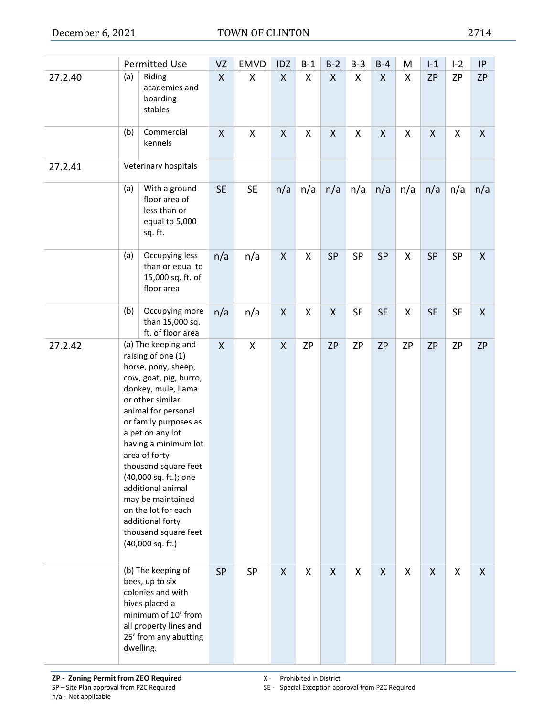|         |     | Permitted Use                                                                                                                                                                                                                                                                                                                                                                                                                          | VZ           | <b>EMVD</b> | <b>IDZ</b>         | $B-1$              | $B-2$              | $B-3$     | $B-4$                     | <u>M</u> | $L_1$              | L2        | $\underline{\mathsf{IP}}$ |
|---------|-----|----------------------------------------------------------------------------------------------------------------------------------------------------------------------------------------------------------------------------------------------------------------------------------------------------------------------------------------------------------------------------------------------------------------------------------------|--------------|-------------|--------------------|--------------------|--------------------|-----------|---------------------------|----------|--------------------|-----------|---------------------------|
| 27.2.40 | (a) | Riding<br>academies and<br>boarding<br>stables                                                                                                                                                                                                                                                                                                                                                                                         | $\mathsf{X}$ | X           | $\mathsf{X}$       | $\mathsf{X}$       | $\mathsf{X}$       | X         | $\boldsymbol{\mathsf{X}}$ | X        | <b>ZP</b>          | <b>ZP</b> | <b>ZP</b>                 |
|         | (b) | Commercial<br>kennels                                                                                                                                                                                                                                                                                                                                                                                                                  | X            | X           | $\pmb{\mathsf{X}}$ | X                  | X                  | X         | $\pmb{\mathsf{X}}$        | X        | $\pmb{\mathsf{X}}$ | Χ         | $\pmb{\mathsf{X}}$        |
| 27.2.41 |     | Veterinary hospitals                                                                                                                                                                                                                                                                                                                                                                                                                   |              |             |                    |                    |                    |           |                           |          |                    |           |                           |
|         | (a) | With a ground<br>floor area of<br>less than or<br>equal to 5,000<br>sq. ft.                                                                                                                                                                                                                                                                                                                                                            | <b>SE</b>    | <b>SE</b>   | n/a                | n/a                | n/a                | n/a       | n/a                       | n/a      | n/a                | n/a       | n/a                       |
|         | (a) | Occupying less<br>than or equal to<br>15,000 sq. ft. of<br>floor area                                                                                                                                                                                                                                                                                                                                                                  | n/a          | n/a         | $\pmb{\mathsf{X}}$ | $\pmb{\mathsf{X}}$ | <b>SP</b>          | SP        | SP                        | X        | <b>SP</b>          | SP        | X                         |
|         | (b) | Occupying more<br>than 15,000 sq.<br>ft. of floor area                                                                                                                                                                                                                                                                                                                                                                                 | n/a          | n/a         | $\pmb{\mathsf{X}}$ | $\pmb{\mathsf{X}}$ | $\pmb{\mathsf{X}}$ | <b>SE</b> | <b>SE</b>                 | Χ        | <b>SE</b>          | <b>SE</b> | X                         |
| 27.2.42 |     | (a) The keeping and<br>raising of one (1)<br>horse, pony, sheep,<br>cow, goat, pig, burro,<br>donkey, mule, llama<br>or other similar<br>animal for personal<br>or family purposes as<br>a pet on any lot<br>having a minimum lot<br>area of forty<br>thousand square feet<br>(40,000 sq. ft.); one<br>additional animal<br>may be maintained<br>on the lot for each<br>additional forty<br>thousand square feet<br>$(40,000$ sq. ft.) | X            | X           | $\pmb{\mathsf{X}}$ | <b>ZP</b>          | <b>ZP</b>          | ZP        | <b>ZP</b>                 | ZP       | <b>ZP</b>          | <b>ZP</b> | ZP                        |
|         |     | (b) The keeping of<br>bees, up to six<br>colonies and with<br>hives placed a<br>minimum of 10' from<br>all property lines and<br>25' from any abutting<br>dwelling.                                                                                                                                                                                                                                                                    | <b>SP</b>    | <b>SP</b>   | X                  | X                  | X                  | X         | $\mathsf{X}$              | X        | $\mathsf{X}$       | X         | X                         |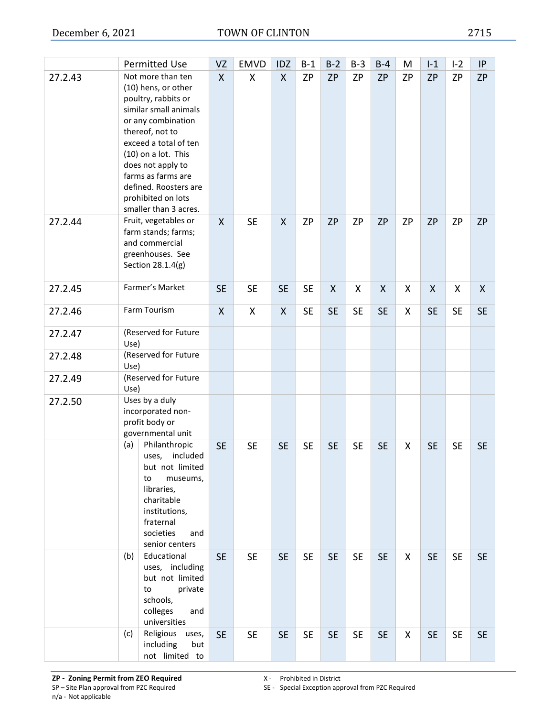|         | Permitted Use                                                                                                                                                                                                                                                                                        | $VZ$         | <b>EMVD</b> | IDZ          | $B-1$     | $B-2$     | $B-3$     | $B-4$     | <u>M</u>  | $L_1$     | L2        | P         |
|---------|------------------------------------------------------------------------------------------------------------------------------------------------------------------------------------------------------------------------------------------------------------------------------------------------------|--------------|-------------|--------------|-----------|-----------|-----------|-----------|-----------|-----------|-----------|-----------|
| 27.2.43 | Not more than ten<br>(10) hens, or other<br>poultry, rabbits or<br>similar small animals<br>or any combination<br>thereof, not to<br>exceed a total of ten<br>(10) on a lot. This<br>does not apply to<br>farms as farms are<br>defined. Roosters are<br>prohibited on lots<br>smaller than 3 acres. | $\mathsf{X}$ | X           | $\mathsf{X}$ | <b>ZP</b> | <b>ZP</b> | <b>ZP</b> | <b>ZP</b> | <b>ZP</b> | <b>ZP</b> | <b>ZP</b> | <b>ZP</b> |
| 27.2.44 | Fruit, vegetables or<br>farm stands; farms;<br>and commercial<br>greenhouses. See<br>Section 28.1.4(g)                                                                                                                                                                                               | X            | <b>SE</b>   | X            | <b>ZP</b> | <b>ZP</b> | <b>ZP</b> | <b>ZP</b> | <b>ZP</b> | <b>ZP</b> | <b>ZP</b> | <b>ZP</b> |
| 27.2.45 | Farmer's Market                                                                                                                                                                                                                                                                                      | <b>SE</b>    | <b>SE</b>   | <b>SE</b>    | <b>SE</b> | X         | X         | X         | X         | X         | X         | X         |
| 27.2.46 | Farm Tourism                                                                                                                                                                                                                                                                                         | X            | X           | X            | <b>SE</b> | <b>SE</b> | <b>SE</b> | <b>SE</b> | X         | <b>SE</b> | <b>SE</b> | <b>SE</b> |
| 27.2.47 | (Reserved for Future<br>Use)                                                                                                                                                                                                                                                                         |              |             |              |           |           |           |           |           |           |           |           |
| 27.2.48 | (Reserved for Future<br>Use)                                                                                                                                                                                                                                                                         |              |             |              |           |           |           |           |           |           |           |           |
| 27.2.49 | (Reserved for Future<br>Use)                                                                                                                                                                                                                                                                         |              |             |              |           |           |           |           |           |           |           |           |
| 27.2.50 | Uses by a duly<br>incorporated non-<br>profit body or<br>governmental unit                                                                                                                                                                                                                           |              |             |              |           |           |           |           |           |           |           |           |
|         | Philanthropic<br>(a)<br>included<br>uses,<br>but not limited<br>to<br>museums,<br>libraries,<br>charitable<br>institutions,<br>fraternal<br>societies<br>and<br>senior centers                                                                                                                       | <b>SE</b>    | <b>SE</b>   | <b>SE</b>    | <b>SE</b> | <b>SE</b> | <b>SE</b> | <b>SE</b> | X         | <b>SE</b> | <b>SE</b> | <b>SE</b> |
|         | Educational<br>(b)<br>uses, including<br>but not limited<br>to<br>private<br>schools,<br>colleges<br>and<br>universities                                                                                                                                                                             | <b>SE</b>    | <b>SE</b>   | <b>SE</b>    | <b>SE</b> | <b>SE</b> | <b>SE</b> | <b>SE</b> | X         | <b>SE</b> | <b>SE</b> | <b>SE</b> |
|         | Religious uses,<br>(c)<br>including<br>but<br>not limited to                                                                                                                                                                                                                                         | <b>SE</b>    | <b>SE</b>   | <b>SE</b>    | <b>SE</b> | <b>SE</b> | <b>SE</b> | <b>SE</b> | X         | <b>SE</b> | <b>SE</b> | <b>SE</b> |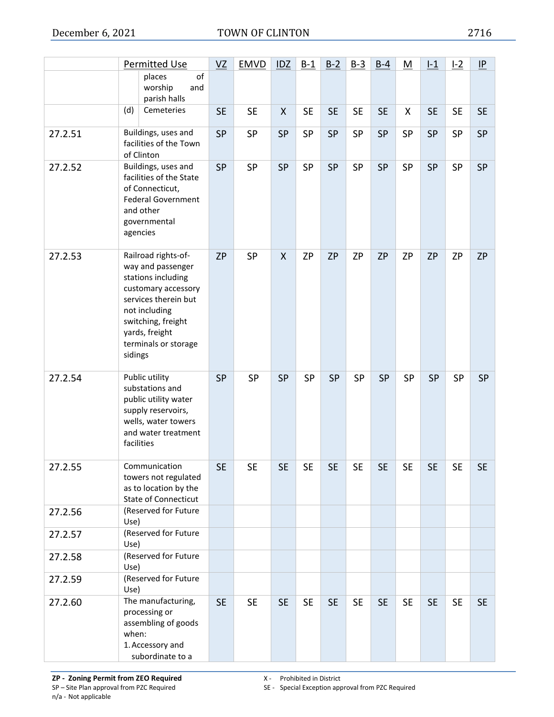|         |         | <b>Permitted Use</b>                                                                                                                                                                           | VZ        | <b>EMVD</b> | IDZ          | $B-1$     | $B-2$     | $B-3$     | $B-4$     | M         | $l-1$     | $1-2$     | IP        |
|---------|---------|------------------------------------------------------------------------------------------------------------------------------------------------------------------------------------------------|-----------|-------------|--------------|-----------|-----------|-----------|-----------|-----------|-----------|-----------|-----------|
|         |         | of<br>places<br>worship<br>and<br>parish halls                                                                                                                                                 |           |             |              |           |           |           |           |           |           |           |           |
|         | (d)     | Cemeteries                                                                                                                                                                                     | <b>SE</b> | <b>SE</b>   | X            | <b>SE</b> | <b>SE</b> | <b>SE</b> | <b>SE</b> | X         | <b>SE</b> | <b>SE</b> | <b>SE</b> |
| 27.2.51 |         | Buildings, uses and<br>facilities of the Town<br>of Clinton                                                                                                                                    | <b>SP</b> | SP          | <b>SP</b>    | SP        | <b>SP</b> | SP        | <b>SP</b> | <b>SP</b> | <b>SP</b> | SP        | <b>SP</b> |
| 27.2.52 |         | Buildings, uses and<br>facilities of the State<br>of Connecticut,<br><b>Federal Government</b><br>and other<br>governmental<br>agencies                                                        | <b>SP</b> | <b>SP</b>   | <b>SP</b>    | SP        | <b>SP</b> | SP        | <b>SP</b> | <b>SP</b> | <b>SP</b> | SP        | SP        |
| 27.2.53 | sidings | Railroad rights-of-<br>way and passenger<br>stations including<br>customary accessory<br>services therein but<br>not including<br>switching, freight<br>yards, freight<br>terminals or storage | <b>ZP</b> | <b>SP</b>   | $\mathsf{X}$ | <b>ZP</b> | <b>ZP</b> | <b>ZP</b> | <b>ZP</b> | <b>ZP</b> | <b>ZP</b> | <b>ZP</b> | <b>ZP</b> |
| 27.2.54 |         | Public utility<br>substations and<br>public utility water<br>supply reservoirs,<br>wells, water towers<br>and water treatment<br>facilities                                                    | <b>SP</b> | SP          | <b>SP</b>    | <b>SP</b> | <b>SP</b> | SP        | <b>SP</b> | SP        | <b>SP</b> | <b>SP</b> | <b>SP</b> |
| 27.2.55 |         | Communication<br>towers not regulated<br>as to location by the<br><b>State of Connecticut</b>                                                                                                  | <b>SE</b> | <b>SE</b>   | <b>SE</b>    | <b>SE</b> | <b>SE</b> | <b>SE</b> | <b>SE</b> | <b>SE</b> | <b>SE</b> | <b>SE</b> | <b>SE</b> |
| 27.2.56 | Use)    | (Reserved for Future                                                                                                                                                                           |           |             |              |           |           |           |           |           |           |           |           |
| 27.2.57 | Use)    | (Reserved for Future                                                                                                                                                                           |           |             |              |           |           |           |           |           |           |           |           |
| 27.2.58 | Use)    | (Reserved for Future                                                                                                                                                                           |           |             |              |           |           |           |           |           |           |           |           |
| 27.2.59 | Use)    | (Reserved for Future                                                                                                                                                                           |           |             |              |           |           |           |           |           |           |           |           |
| 27.2.60 | when:   | The manufacturing,<br>processing or<br>assembling of goods<br>1. Accessory and<br>subordinate to a                                                                                             | <b>SE</b> | <b>SE</b>   | <b>SE</b>    | <b>SE</b> | <b>SE</b> | <b>SE</b> | <b>SE</b> | <b>SE</b> | <b>SE</b> | <b>SE</b> | <b>SE</b> |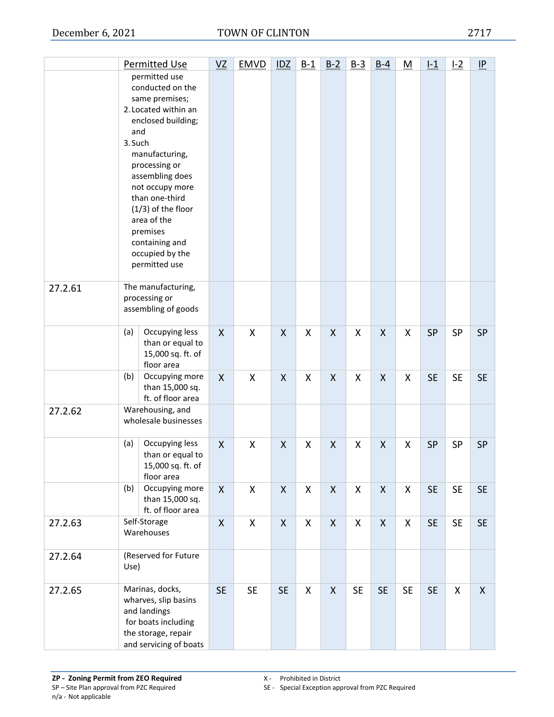|         |                | <b>Permitted Use</b>                                                                                                                                                                                                                                                                                  | VZ        | <b>EMVD</b> | IDZ                | $B-1$ | $B-2$        | $B-3$     | $B-4$              | $\underline{\mathsf{M}}$ | $L_1$     | L2        | $\underline{\mathsf{IP}}$ |
|---------|----------------|-------------------------------------------------------------------------------------------------------------------------------------------------------------------------------------------------------------------------------------------------------------------------------------------------------|-----------|-------------|--------------------|-------|--------------|-----------|--------------------|--------------------------|-----------|-----------|---------------------------|
|         | and<br>3. Such | permitted use<br>conducted on the<br>same premises;<br>2. Located within an<br>enclosed building;<br>manufacturing,<br>processing or<br>assembling does<br>not occupy more<br>than one-third<br>$(1/3)$ of the floor<br>area of the<br>premises<br>containing and<br>occupied by the<br>permitted use |           |             |                    |       |              |           |                    |                          |           |           |                           |
| 27.2.61 |                | The manufacturing,<br>processing or<br>assembling of goods                                                                                                                                                                                                                                            |           |             |                    |       |              |           |                    |                          |           |           |                           |
|         | (a)            | Occupying less<br>than or equal to<br>15,000 sq. ft. of<br>floor area                                                                                                                                                                                                                                 | X         | X           | X                  | X     | X            | X         | X                  | X                        | <b>SP</b> | <b>SP</b> | <b>SP</b>                 |
|         | (b)            | Occupying more<br>than 15,000 sq.<br>ft. of floor area                                                                                                                                                                                                                                                | X         | X           | X                  | X     | X            | X         | X                  | X                        | <b>SE</b> | <b>SE</b> | <b>SE</b>                 |
| 27.2.62 |                | Warehousing, and<br>wholesale businesses                                                                                                                                                                                                                                                              |           |             |                    |       |              |           |                    |                          |           |           |                           |
|         | (a)            | Occupying less<br>than or equal to<br>15,000 sq. ft. of<br>floor area                                                                                                                                                                                                                                 | X         | X           | $\pmb{\mathsf{X}}$ | X     | X            | X         | $\pmb{\mathsf{X}}$ | Χ                        | <b>SP</b> | <b>SP</b> | <b>SP</b>                 |
|         | (b)            | Occupying more<br>than 15,000 sq.<br>ft. of floor area                                                                                                                                                                                                                                                | X         | X           | $\pmb{\mathsf{X}}$ | X     | X            | X         | $\pmb{\mathsf{X}}$ | X                        | <b>SE</b> | <b>SE</b> | <b>SE</b>                 |
| 27.2.63 |                | Self-Storage<br>Warehouses                                                                                                                                                                                                                                                                            | X         | X           | X                  | X     | X            | X         | X                  | X                        | <b>SE</b> | <b>SE</b> | <b>SE</b>                 |
| 27.2.64 | Use)           | (Reserved for Future                                                                                                                                                                                                                                                                                  |           |             |                    |       |              |           |                    |                          |           |           |                           |
| 27.2.65 |                | Marinas, docks,<br>wharves, slip basins<br>and landings<br>for boats including<br>the storage, repair<br>and servicing of boats                                                                                                                                                                       | <b>SE</b> | <b>SE</b>   | <b>SE</b>          | X     | $\mathsf{X}$ | <b>SE</b> | <b>SE</b>          | <b>SE</b>                | <b>SE</b> | X         | $\mathsf{X}$              |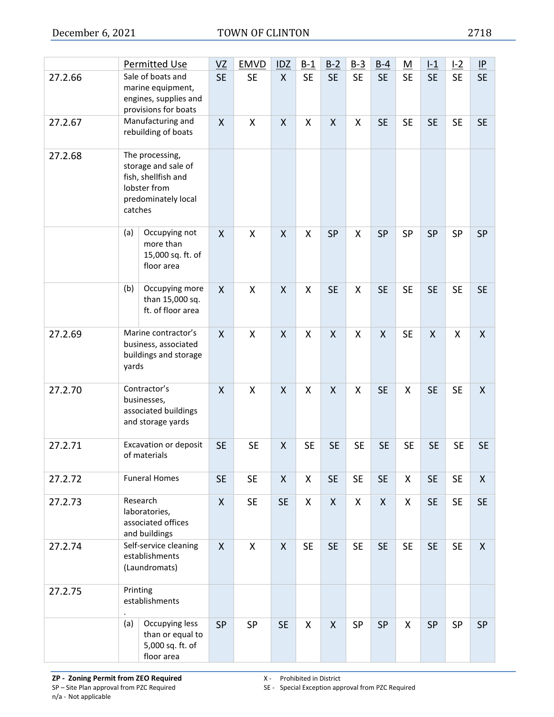|         |          | <b>Permitted Use</b>                                                                                 | VZ                        | <b>EMVD</b> | <b>IDZ</b>   | $B-1$     | $B-2$        | $B-3$     | $B-4$              | <u>M</u>  | $l-1$        | L2        | $\underline{\mathsf{IP}}$ |
|---------|----------|------------------------------------------------------------------------------------------------------|---------------------------|-------------|--------------|-----------|--------------|-----------|--------------------|-----------|--------------|-----------|---------------------------|
| 27.2.66 |          | Sale of boats and<br>marine equipment,<br>engines, supplies and<br>provisions for boats              | <b>SE</b>                 | <b>SE</b>   | $\mathsf{X}$ | <b>SE</b> | <b>SE</b>    | <b>SE</b> | <b>SE</b>          | <b>SE</b> | <b>SE</b>    | <b>SE</b> | <b>SE</b>                 |
| 27.2.67 |          | Manufacturing and<br>rebuilding of boats                                                             | $\boldsymbol{\mathsf{X}}$ | X           | X            | Χ         | X            | X         | <b>SE</b>          | <b>SE</b> | <b>SE</b>    | <b>SE</b> | <b>SE</b>                 |
| 27.2.68 | catches  | The processing,<br>storage and sale of<br>fish, shellfish and<br>lobster from<br>predominately local |                           |             |              |           |              |           |                    |           |              |           |                           |
|         | (a)      | Occupying not<br>more than<br>15,000 sq. ft. of<br>floor area                                        | $\mathsf{X}$              | X           | $\mathsf{X}$ | X         | <b>SP</b>    | X         | <b>SP</b>          | <b>SP</b> | <b>SP</b>    | <b>SP</b> | <b>SP</b>                 |
|         | (b)      | Occupying more<br>than 15,000 sq.<br>ft. of floor area                                               | $\mathsf{X}$              | X           | $\mathsf{X}$ | X         | <b>SE</b>    | X         | <b>SE</b>          | <b>SE</b> | <b>SE</b>    | <b>SE</b> | <b>SE</b>                 |
| 27.2.69 | yards    | Marine contractor's<br>business, associated<br>buildings and storage                                 | $\mathsf{X}$              | X           | X            | X         | X            | X         | $\mathsf{X}$       | <b>SE</b> | $\mathsf{X}$ | X         | $\mathsf{X}$              |
| 27.2.70 |          | Contractor's<br>businesses,<br>associated buildings<br>and storage yards                             | $\mathsf{X}$              | X           | X            | X         | X            | X         | <b>SE</b>          | X         | <b>SE</b>    | <b>SE</b> | X                         |
| 27.2.71 |          | Excavation or deposit<br>of materials                                                                | <b>SE</b>                 | <b>SE</b>   | $\mathsf{X}$ | <b>SE</b> | <b>SE</b>    | <b>SE</b> | <b>SE</b>          | <b>SE</b> | <b>SE</b>    | <b>SE</b> | <b>SE</b>                 |
| 27.2.72 |          | <b>Funeral Homes</b>                                                                                 | <b>SE</b>                 | <b>SE</b>   | $\mathsf{X}$ | X         | <b>SE</b>    | <b>SE</b> | <b>SE</b>          | X         | <b>SE</b>    | <b>SE</b> | $\mathsf{X}$              |
| 27.2.73 |          | Research<br>laboratories,<br>associated offices<br>and buildings                                     | $\boldsymbol{X}$          | <b>SE</b>   | <b>SE</b>    | X         | $\mathsf{X}$ | X         | $\mathsf{X}% _{0}$ | X         | <b>SE</b>    | <b>SE</b> | <b>SE</b>                 |
| 27.2.74 |          | Self-service cleaning<br>establishments<br>(Laundromats)                                             | $\mathsf{X}$              | X           | $\mathsf{X}$ | <b>SE</b> | <b>SE</b>    | <b>SE</b> | <b>SE</b>          | <b>SE</b> | <b>SE</b>    | <b>SE</b> | $\mathsf{X}$              |
| 27.2.75 | Printing | establishments                                                                                       |                           |             |              |           |              |           |                    |           |              |           |                           |
|         | (a)      | Occupying less<br>than or equal to<br>5,000 sq. ft. of<br>floor area                                 | <b>SP</b>                 | <b>SP</b>   | <b>SE</b>    | X.        | X            | SP        | <b>SP</b>          | X         | <b>SP</b>    | SP        | <b>SP</b>                 |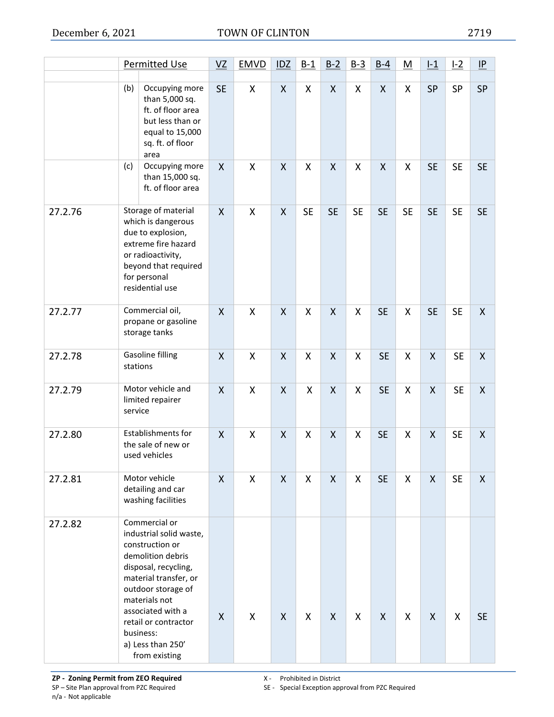|         |                                                                                                                                                                                                                                                      | <b>Permitted Use</b>                                                                                                                                                                                                                                                     | $VZ$         | <b>EMVD</b>        | IDZ          | $B-1$     | $B-2$        | $B-3$     | $B-4$        | <u>M</u>  | $L_1$              | L2        | $\underline{\mathsf{IP}}$ |
|---------|------------------------------------------------------------------------------------------------------------------------------------------------------------------------------------------------------------------------------------------------------|--------------------------------------------------------------------------------------------------------------------------------------------------------------------------------------------------------------------------------------------------------------------------|--------------|--------------------|--------------|-----------|--------------|-----------|--------------|-----------|--------------------|-----------|---------------------------|
|         | (b)                                                                                                                                                                                                                                                  | Occupying more<br>than 5,000 sq.<br>ft. of floor area<br>but less than or<br>equal to 15,000<br>sq. ft. of floor<br>area                                                                                                                                                 | <b>SE</b>    | X                  | $\mathsf{X}$ | X         | X            | X         | Χ            | Χ         | SP                 | SP        | SP                        |
|         | (c)                                                                                                                                                                                                                                                  | Occupying more<br>than 15,000 sq.<br>ft. of floor area                                                                                                                                                                                                                   | X            | X                  | X            | X         | X            | X         | X            | X         | <b>SE</b>          | <b>SE</b> | <b>SE</b>                 |
| 27.2.76 | Storage of material<br>which is dangerous<br>due to explosion,<br>extreme fire hazard<br>or radioactivity,<br>beyond that required<br>for personal<br>residential use<br>Commercial oil,<br>propane or gasoline<br>storage tanks<br>Gasoline filling |                                                                                                                                                                                                                                                                          | $\mathsf{X}$ | X                  | $\mathsf{X}$ | <b>SE</b> | <b>SE</b>    | <b>SE</b> | <b>SE</b>    | <b>SE</b> | <b>SE</b>          | <b>SE</b> | <b>SE</b>                 |
| 27.2.77 |                                                                                                                                                                                                                                                      |                                                                                                                                                                                                                                                                          | X            | $\pmb{\mathsf{X}}$ | $\mathsf{X}$ | X         | X            | X         | <b>SE</b>    | Χ         | <b>SE</b>          | <b>SE</b> | $\mathsf{X}$              |
| 27.2.78 | stations                                                                                                                                                                                                                                             |                                                                                                                                                                                                                                                                          | X            | X                  | X            | X         | X            | X         | <b>SE</b>    | X         | $\pmb{\mathsf{X}}$ | <b>SE</b> | $\mathsf{X}$              |
| 27.2.79 | service                                                                                                                                                                                                                                              | Motor vehicle and<br>limited repairer                                                                                                                                                                                                                                    | X            | $\pmb{\mathsf{X}}$ | X            | X         | X            | X         | <b>SE</b>    | Χ         | $\pmb{\mathsf{X}}$ | <b>SE</b> | $\mathsf{X}$              |
| 27.2.80 |                                                                                                                                                                                                                                                      | Establishments for<br>the sale of new or<br>used vehicles                                                                                                                                                                                                                | X            | X                  | $\mathsf{X}$ | X         | X            | X         | <b>SE</b>    | X         | $\mathsf{X}$       | <b>SE</b> | $\mathsf{X}$              |
| 27.2.81 |                                                                                                                                                                                                                                                      | Motor vehicle<br>detailing and car<br>washing facilities                                                                                                                                                                                                                 | X            | X                  | X            | X         | X            | X         | <b>SE</b>    | X         | X                  | <b>SE</b> | X                         |
| 27.2.82 |                                                                                                                                                                                                                                                      | Commercial or<br>industrial solid waste,<br>construction or<br>demolition debris<br>disposal, recycling,<br>material transfer, or<br>outdoor storage of<br>materials not<br>associated with a<br>retail or contractor<br>business:<br>a) Less than 250'<br>from existing | X            | $\mathsf{X}$       | $\mathsf{X}$ | X         | $\mathsf{X}$ | X         | $\mathsf{X}$ | X         | $\mathsf{X}$       | X         | <b>SE</b>                 |